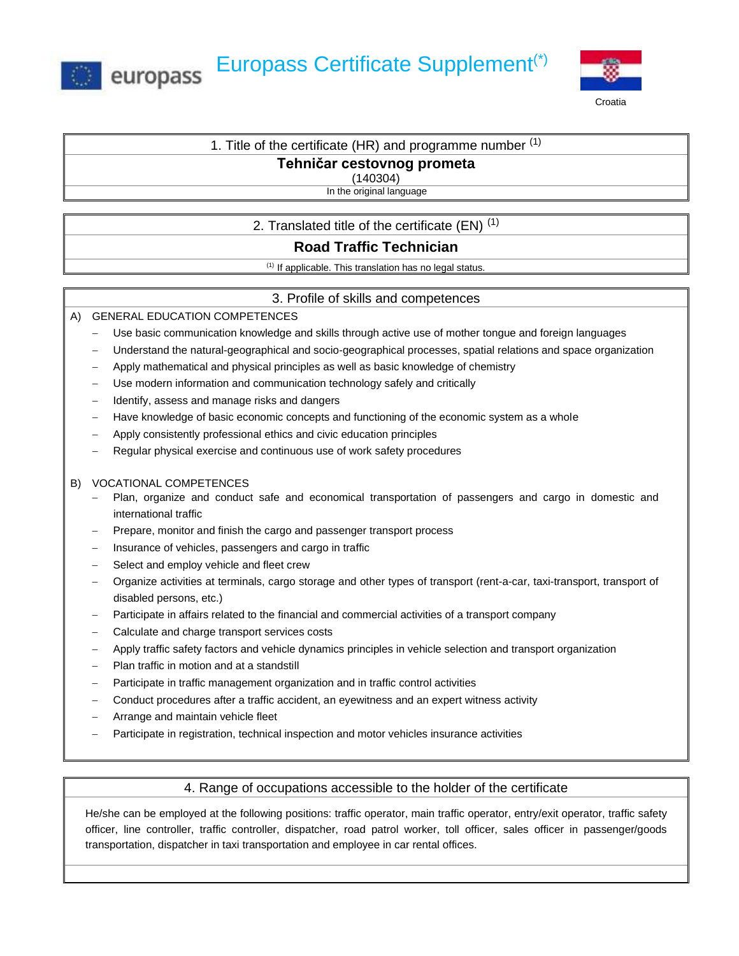



# 1. Title of the certificate (HR) and programme number  $(1)$

## **Tehničar cestovnog prometa**

(140304)

In the original language

# 2. Translated title of the certificate (EN)  $(1)$

# **Road Traffic Technician**

 $(1)$  If applicable. This translation has no legal status.

## 3. Profile of skills and competences

## A) GENERAL EDUCATION COMPETENCES

- Use basic communication knowledge and skills through active use of mother tongue and foreign languages
- − Understand the natural-geographical and socio-geographical processes, spatial relations and space organization
- − Apply mathematical and physical principles as well as basic knowledge of chemistry
- Use modern information and communication technology safely and critically
- Hatarify, assess and manage risks and dangers
- Have knowledge of basic economic concepts and functioning of the economic system as a whole
- − Apply consistently professional ethics and civic education principles
- Regular physical exercise and continuous use of work safety procedures

#### B) VOCATIONAL COMPETENCES

- − Plan, organize and conduct safe and economical transportation of passengers and cargo in domestic and international traffic
- − Prepare, monitor and finish the cargo and passenger transport process
- − Insurance of vehicles, passengers and cargo in traffic
- Select and employ vehicle and fleet crew
- − Organize activities at terminals, cargo storage and other types of transport (rent-a-car, taxi-transport, transport of disabled persons, etc.)
- Participate in affairs related to the financial and commercial activities of a transport company
- − Calculate and charge transport services costs
- − Apply traffic safety factors and vehicle dynamics principles in vehicle selection and transport organization
- − Plan traffic in motion and at a standstill
- Participate in traffic management organization and in traffic control activities
- Conduct procedures after a traffic accident, an eyewitness and an expert witness activity
- − Arrange and maintain vehicle fleet
- Participate in registration, technical inspection and motor vehicles insurance activities

## 4. Range of occupations accessible to the holder of the certificate

He/she can be employed at the following positions: traffic operator, main traffic operator, entry/exit operator, traffic safety officer, line controller, traffic controller, dispatcher, road patrol worker, toll officer, sales officer in passenger/goods transportation, dispatcher in taxi transportation and employee in car rental offices.